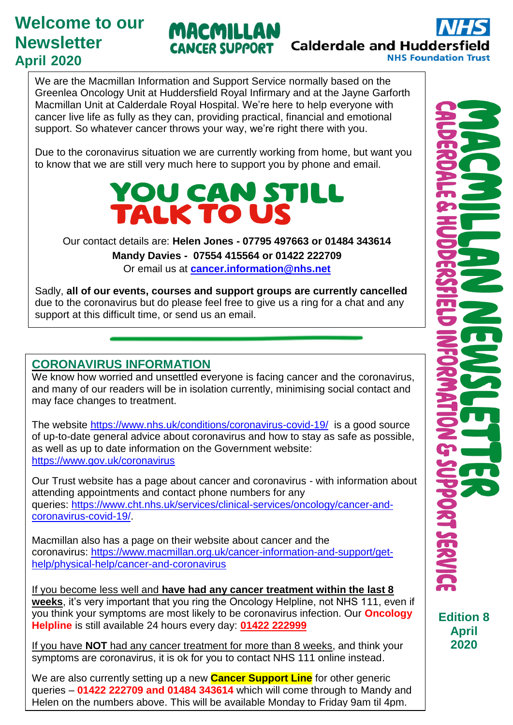# **Welcome to our Newsletter April 2020**

MACMILLAN **Calderdale and Huddersfie CANCER SUPPORT** 

We are the Macmillan Information and Support Service normally based on the Greenlea Oncology Unit at Huddersfield Royal Infirmary and at the Jayne Garforth Macmillan Unit at Calderdale Royal Hospital. We're here to help everyone with cancer live life as fully as they can, providing practical, financial and emotional support. So whatever cancer throws your way, we're right there with you.

Due to the coronavirus situation we are currently working from home, but want you to know that we are still very much here to support you by phone and email.



Our contact details are: **Helen Jones - 07795 497663 or 01484 343614 Mandy Davies - 07554 415564 or 01422 222709** Or email us at **[cancer.information@nhs.net](mailto:cancer.information@nhs.net)**

Sadly, **all of our events, courses and support groups are currently cancelled** due to the coronavirus but do please feel free to give us a ring for a chat and any support at this difficult time, or send us an email.

## **CORONAVIRUS INFORMATION**

We know how worried and unsettled everyone is facing cancer and the coronavirus, and many of our readers will be in isolation currently, minimising social contact and may face changes to treatment.

The website<https://www.nhs.uk/conditions/coronavirus-covid-19/>is a good source of up-to-date general advice about coronavirus and how to stay as safe as possible, as well as up to date information on the Government website: https://www.gov.uk/coronavirus

Our Trust website has a page about cancer and coronavirus - with information about attending appointments and contact phone numbers for any queries: [https://www.cht.nhs.uk/services/clinical-services/oncology/cancer-and](https://www.cht.nhs.uk/services/clinical-services/oncology/cancer-and-coronavirus-covid-19/)[coronavirus-covid-19/.](https://www.cht.nhs.uk/services/clinical-services/oncology/cancer-and-coronavirus-covid-19/)

Macmillan also has a page on their website about cancer and the coronavirus: [https://www.macmillan.org.uk/cancer-information-and-support/get](https://www.macmillan.org.uk/cancer-information-and-support/get-help/physical-help/cancer-and-coronavirus)[help/physical-help/cancer-and-coronavirus](https://www.macmillan.org.uk/cancer-information-and-support/get-help/physical-help/cancer-and-coronavirus)

If you become less well and **have had any cancer treatment within the last 8 weeks**, it's very important that you ring the Oncology Helpline, not NHS 111, even if you think your symptoms are most likely to be coronavirus infection. Our **Oncology Helpline** is still available 24 hours every day: **01422 222999**

If you have **NOT** had any cancer treatment for more than 8 weeks, and think your symptoms are coronavirus, it is ok for you to contact NHS 111 online instead.

We are also currently setting up a new **Cancer Support Line** for other generic queries – **01422 222709 and 01484 343614** which will come through to Mandy and Helen on the numbers above. This will be available Monday to Friday 9am til 4pm.

**NHS Foundation Trust** 

**Edition 8 April 2020**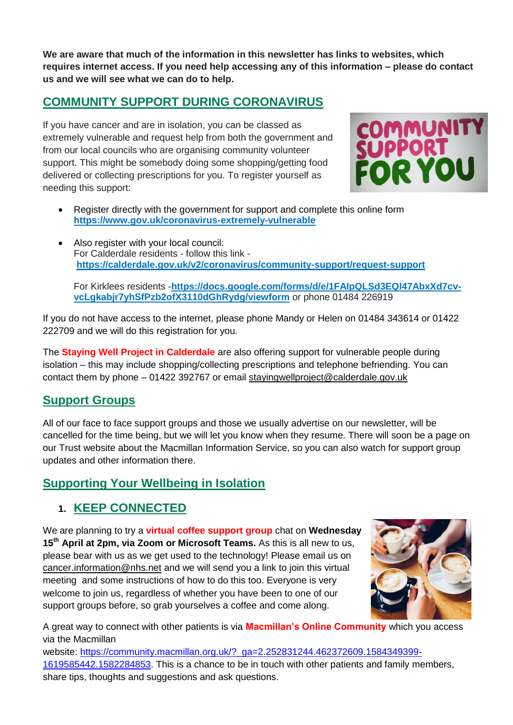**We are aware that much of the information in this newsletter has links to websites, which requires internet access. If you need help accessing any of this information – please do contact us and we will see what we can do to help.**

### **COMMUNITY SUPPORT DURING CORONAVIRUS**

If you have cancer and are in isolation, you can be classed as extremely vulnerable and request help from both the government and from our local councils who are organising community volunteer support. This might be somebody doing some shopping/getting food delivered or collecting prescriptions for you. To register yourself as needing this support:



- Register directly with the government for support and complete this online form **<https://www.gov.uk/coronavirus-extremely-vulnerable>**
- Also register with your local council: For Calderdale residents - follow this link **[https://calderdale.gov.uk/v2/coronavirus/community-support/request-support](https://calderdale.gov.uk/v2/coronavirus/community-support/request-support?fbclid=IwAR0BnAf2Ad2dUApd2fN3uObdpUVOQLaUfZH_S8CkfgQxc_ljg6s6Y3Q1vZk)**

For Kirklees residents -**[https://docs.google.com/forms/d/e/1FAIpQLSd3EQl47AbxXd7cv](https://docs.google.com/forms/d/e/1FAIpQLSd3EQl47AbxXd7cv-vcLgkabjr7yhSfPzb2ofX3110dGhRydg/viewform)[vcLgkabjr7yhSfPzb2ofX3110dGhRydg/viewform](https://docs.google.com/forms/d/e/1FAIpQLSd3EQl47AbxXd7cv-vcLgkabjr7yhSfPzb2ofX3110dGhRydg/viewform)** or phone 01484 226919

If you do not have access to the internet, please phone Mandy or Helen on 01484 343614 or 01422 222709 and we will do this registration for you.

The **Staying Well Project in Calderdale** are also offering support for vulnerable people during isolation – this may include shopping/collecting prescriptions and telephone befriending. You can contact them by phone – 01422 392767 or email [stayingwellproject@calderdale.gov.uk](mailto:stayingwellproject@calderdale.gov.uk)

#### **Support Groups**

All of our face to face support groups and those we usually advertise on our newsletter, will be cancelled for the time being, but we will let you know when they resume. There will soon be a page on our Trust website about the Macmillan Information Service, so you can also watch for support group updates and other information there.

#### **Supporting Your Wellbeing in Isolation**

#### **1. KEEP CONNECTED**

We are planning to try a **virtual coffee support group** chat on **Wednesday 15th April at 2pm, via Zoom or Microsoft Teams.** As this is all new to us, please bear with us as we get used to the technology! Please email us on [cancer.information@nhs.net](mailto:cancer.information@nhs.net) and we will send you a link to join this virtual meeting and some instructions of how to do this too. Everyone is very welcome to join us, regardless of whether you have been to one of our support groups before, so grab yourselves a coffee and come along.



A great way to connect with other patients is via **Macmillan's Online Community** which you access via the Macmillan

website: [https://community.macmillan.org.uk/?\\_ga=2.252831244.462372609.1584349399-](https://community.macmillan.org.uk/?_ga=2.252831244.462372609.1584349399-1619585442.1582284853) [1619585442.1582284853.](https://community.macmillan.org.uk/?_ga=2.252831244.462372609.1584349399-1619585442.1582284853) This is a chance to be in touch with other patients and family members, share tips, thoughts and suggestions and ask questions.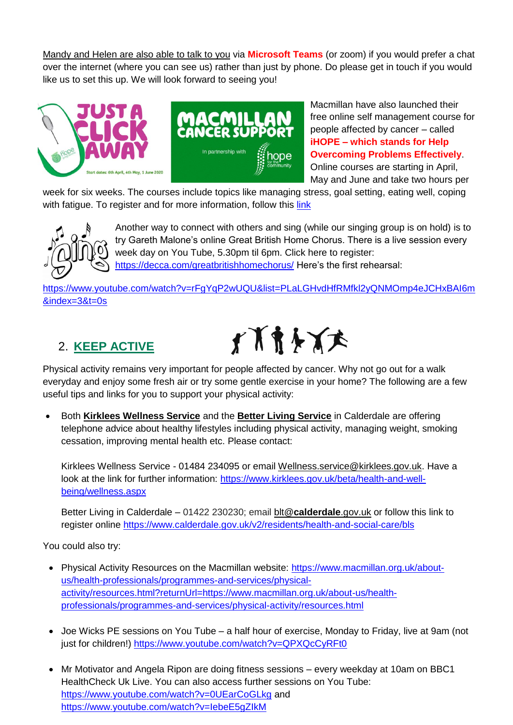Mandy and Helen are also able to talk to you via **Microsoft Teams** (or zoom) if you would prefer a chat over the internet (where you can see us) rather than just by phone. Do please get in touch if you would like us to set this up. We will look forward to seeing you!



Macmillan have also launched their free online self management course for people affected by cancer – called **iHOPE – which stands for Help Overcoming Problems Effectively**. Online courses are starting in April, May and June and take two hours per

week for six weeks. The courses include topics like managing stress, goal setting, eating well, coping with fatigue. To register and for more information, follow this [link](https://coventryhls.eu.qualtrics.com/jfe/form/SV_bIXGI1ADihkwTAN)



Another way to connect with others and sing (while our singing group is on hold) is to try Gareth Malone's online Great British Home Chorus. There is a live session every week day on You Tube, 5.30pm til 6pm. Click here to register: <https://decca.com/greatbritishhomechorus/> Here's the first rehearsal:

[https://www.youtube.com/watch?v=rFgYqP2wUQU&list=PLaLGHvdHfRMfkl2yQNMOmp4eJCHxBAI6m](https://www.youtube.com/watch?v=rFgYqP2wUQU&list=PLaLGHvdHfRMfkl2yQNMOmp4eJCHxBAI6m&index=3&t=0s) [&index=3&t=0s](https://www.youtube.com/watch?v=rFgYqP2wUQU&list=PLaLGHvdHfRMfkl2yQNMOmp4eJCHxBAI6m&index=3&t=0s)

## 2. **KEEP ACTIVE**



Physical activity remains very important for people affected by cancer. Why not go out for a walk everyday and enjoy some fresh air or try some gentle exercise in your home? The following are a few useful tips and links for you to support your physical activity:

 Both **Kirklees Wellness Service** and the **Better Living Service** in Calderdale are offering telephone advice about healthy lifestyles including physical activity, managing weight, smoking cessation, improving mental health etc. Please contact:

Kirklees Wellness Service - 01484 234095 or email [Wellness.service@kirklees.gov.uk.](mailto:Wellness.service@kirklees.gov.uk) Have a look at the link for further information: [https://www.kirklees.gov.uk/beta/health-and-well](https://www.kirklees.gov.uk/beta/health-and-well-being/wellness.aspx)[being/wellness.aspx](https://www.kirklees.gov.uk/beta/health-and-well-being/wellness.aspx)

Better Living in Calderdale – 01422 230230; email blt@**[calderdale](mailto:blt@calderdale.gov.uk)**.gov.uk or follow this link to register online<https://www.calderdale.gov.uk/v2/residents/health-and-social-care/bls>

You could also try:

- Physical Activity Resources on the Macmillan website: [https://www.macmillan.org.uk/about](https://www.macmillan.org.uk/about-us/health-professionals/programmes-and-services/physical-activity/resources.html?returnUrl=https://www.macmillan.org.uk/about-us/health-professionals/programmes-and-services/physical-activity/resources.html)[us/health-professionals/programmes-and-services/physical](https://www.macmillan.org.uk/about-us/health-professionals/programmes-and-services/physical-activity/resources.html?returnUrl=https://www.macmillan.org.uk/about-us/health-professionals/programmes-and-services/physical-activity/resources.html)[activity/resources.html?returnUrl=https://www.macmillan.org.uk/about-us/health](https://www.macmillan.org.uk/about-us/health-professionals/programmes-and-services/physical-activity/resources.html?returnUrl=https://www.macmillan.org.uk/about-us/health-professionals/programmes-and-services/physical-activity/resources.html)[professionals/programmes-and-services/physical-activity/resources.html](https://www.macmillan.org.uk/about-us/health-professionals/programmes-and-services/physical-activity/resources.html?returnUrl=https://www.macmillan.org.uk/about-us/health-professionals/programmes-and-services/physical-activity/resources.html)
- Joe Wicks PE sessions on You Tube a half hour of exercise, Monday to Friday, live at 9am (not just for children!)<https://www.youtube.com/watch?v=QPXQcCyRFt0>
- Mr Motivator and Angela Ripon are doing fitness sessions every weekday at 10am on BBC1 HealthCheck Uk Live. You can also access further sessions on You Tube: <https://www.youtube.com/watch?v=0UEarCoGLkg> and <https://www.youtube.com/watch?v=IebeE5gZIkM>